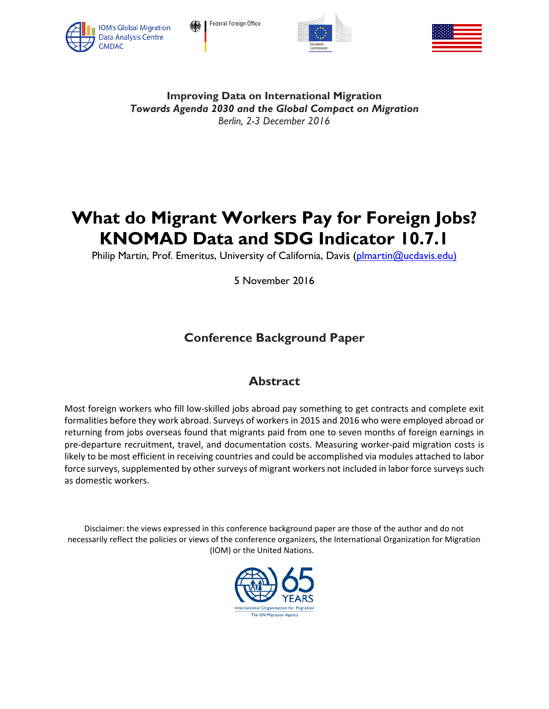

Federal Foreign Office





**Improving Data on International Migration** *Towards Agenda 2030 and the Global Compact on Migration Berlin, 2-3 December 2016*

# **What do Migrant Workers Pay for Foreign Jobs? KNOMAD Data and SDG Indicator 10.7.1**

Philip Martin, Prof. Emeritus, University of California, Davis [\(plmartin@ucdavis.edu\)](mailto:plmartin@ucdavis.edu))

5 November 2016

# **Conference Background Paper**

# **Abstract**

Most foreign workers who fill low-skilled jobs abroad pay something to get contracts and complete exit formalities before they work abroad. Surveys of workers in 2015 and 2016 who were employed abroad or returning from jobs overseas found that migrants paid from one to seven months of foreign earnings in pre-departure recruitment, travel, and documentation costs. Measuring worker-paid migration costs is likely to be most efficient in receiving countries and could be accomplished via modules attached to labor force surveys, supplemented by other surveys of migrant workers not included in labor force surveys such as domestic workers.

Disclaimer: the views expressed in this conference background paper are those of the author and do not necessarily reflect the policies or views of the conference organizers, the International Organization for Migration (IOM) or the United Nations.

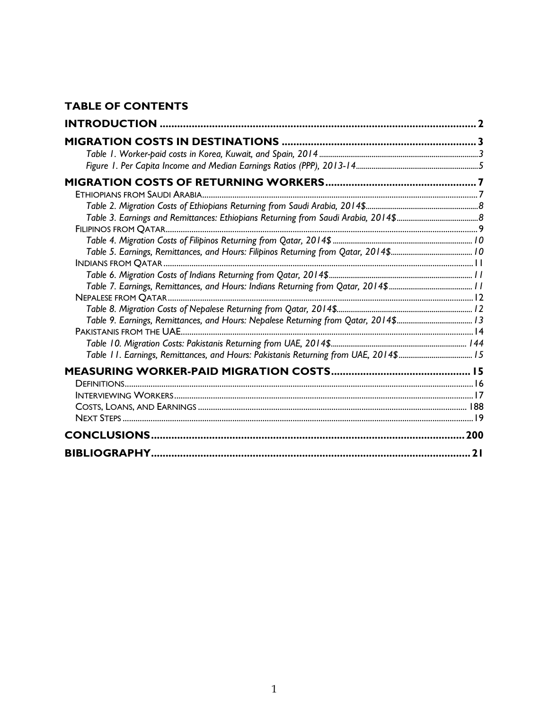# **TABLE OF CONTENTS**

| Table 9. Earnings, Remittances, and Hours: Nepalese Returning from Qatar, 2014\$13  |  |
|-------------------------------------------------------------------------------------|--|
|                                                                                     |  |
| Table 11. Earnings, Remittances, and Hours: Pakistanis Returning from UAE, 2014\$15 |  |
|                                                                                     |  |
|                                                                                     |  |
|                                                                                     |  |
|                                                                                     |  |
|                                                                                     |  |
|                                                                                     |  |
|                                                                                     |  |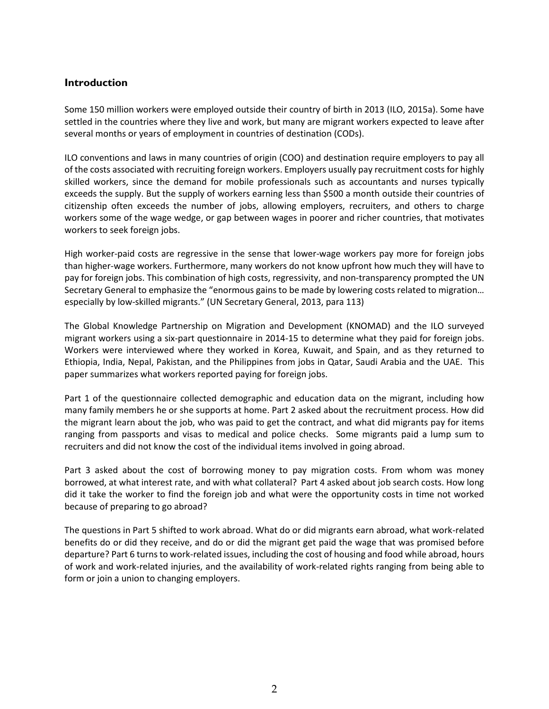# **Introduction**

Some 150 million workers were employed outside their country of birth in 2013 (ILO, 2015a). Some have settled in the countries where they live and work, but many are migrant workers expected to leave after several months or years of employment in countries of destination (CODs).

ILO conventions and laws in many countries of origin (COO) and destination require employers to pay all of the costs associated with recruiting foreign workers. Employers usually pay recruitment costs for highly skilled workers, since the demand for mobile professionals such as accountants and nurses typically exceeds the supply. But the supply of workers earning less than \$500 a month outside their countries of citizenship often exceeds the number of jobs, allowing employers, recruiters, and others to charge workers some of the wage wedge, or gap between wages in poorer and richer countries, that motivates workers to seek foreign jobs.

High worker-paid costs are regressive in the sense that lower-wage workers pay more for foreign jobs than higher-wage workers. Furthermore, many workers do not know upfront how much they will have to pay for foreign jobs. This combination of high costs, regressivity, and non-transparency prompted the UN Secretary General to emphasize the "enormous gains to be made by lowering costs related to migration… especially by low-skilled migrants." (UN Secretary General, 2013, para 113)

The Global Knowledge Partnership on Migration and Development (KNOMAD) and the ILO surveyed migrant workers using a six-part questionnaire in 2014-15 to determine what they paid for foreign jobs. Workers were interviewed where they worked in Korea, Kuwait, and Spain, and as they returned to Ethiopia, India, Nepal, Pakistan, and the Philippines from jobs in Qatar, Saudi Arabia and the UAE. This paper summarizes what workers reported paying for foreign jobs.

Part 1 of the questionnaire collected demographic and education data on the migrant, including how many family members he or she supports at home. Part 2 asked about the recruitment process. How did the migrant learn about the job, who was paid to get the contract, and what did migrants pay for items ranging from passports and visas to medical and police checks. Some migrants paid a lump sum to recruiters and did not know the cost of the individual items involved in going abroad.

Part 3 asked about the cost of borrowing money to pay migration costs. From whom was money borrowed, at what interest rate, and with what collateral? Part 4 asked about job search costs. How long did it take the worker to find the foreign job and what were the opportunity costs in time not worked because of preparing to go abroad?

The questions in Part 5 shifted to work abroad. What do or did migrants earn abroad, what work-related benefits do or did they receive, and do or did the migrant get paid the wage that was promised before departure? Part 6 turns to work-related issues, including the cost of housing and food while abroad, hours of work and work-related injuries, and the availability of work-related rights ranging from being able to form or join a union to changing employers.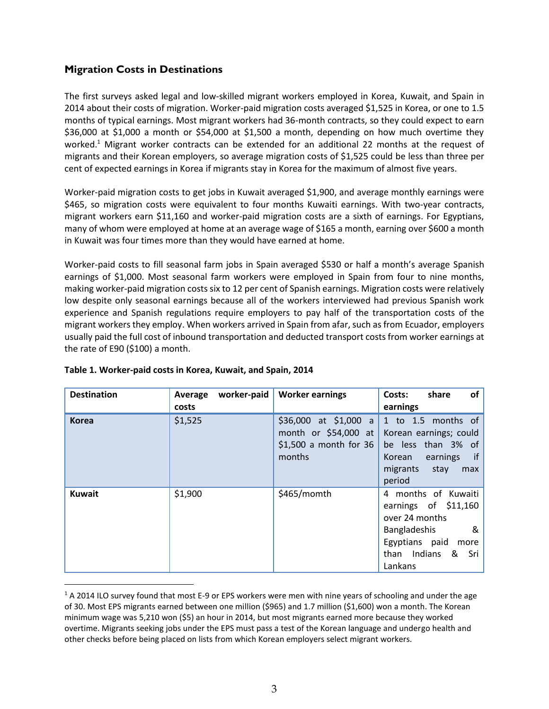# **Migration Costs in Destinations**

The first surveys asked legal and low-skilled migrant workers employed in Korea, Kuwait, and Spain in 2014 about their costs of migration. Worker-paid migration costs averaged \$1,525 in Korea, or one to 1.5 months of typical earnings. Most migrant workers had 36-month contracts, so they could expect to earn \$36,000 at \$1,000 a month or \$54,000 at \$1,500 a month, depending on how much overtime they worked.<sup>1</sup> Migrant worker contracts can be extended for an additional 22 months at the request of migrants and their Korean employers, so average migration costs of \$1,525 could be less than three per cent of expected earnings in Korea if migrants stay in Korea for the maximum of almost five years.

Worker-paid migration costs to get jobs in Kuwait averaged \$1,900, and average monthly earnings were \$465, so migration costs were equivalent to four months Kuwaiti earnings. With two-year contracts, migrant workers earn \$11,160 and worker-paid migration costs are a sixth of earnings. For Egyptians, many of whom were employed at home at an average wage of \$165 a month, earning over \$600 a month in Kuwait was four times more than they would have earned at home.

Worker-paid costs to fill seasonal farm jobs in Spain averaged \$530 or half a month's average Spanish earnings of \$1,000. Most seasonal farm workers were employed in Spain from four to nine months, making worker-paid migration costs six to 12 per cent of Spanish earnings. Migration costs were relatively low despite only seasonal earnings because all of the workers interviewed had previous Spanish work experience and Spanish regulations require employers to pay half of the transportation costs of the migrant workers they employ. When workers arrived in Spain from afar, such as from Ecuador, employers usually paid the full cost of inbound transportation and deducted transport costs from worker earnings at the rate of E90 (\$100) a month.

| <b>Destination</b> | worker-paid<br>Average<br>costs | <b>Worker earnings</b>                                                               | of<br>share<br>Costs:<br>earnings                                                                                                              |
|--------------------|---------------------------------|--------------------------------------------------------------------------------------|------------------------------------------------------------------------------------------------------------------------------------------------|
| <b>Korea</b>       | \$1,525                         | $$36,000$ at $$1,000$ a<br>month or \$54,000 at<br>$$1,500$ a month for 36<br>months | 1 to 1.5 months of<br>Korean earnings; could<br>be less than 3% of<br>if<br>Korean<br>earnings<br>migrants<br>stay<br>max<br>period            |
| <b>Kuwait</b>      | \$1,900                         | \$465/momth                                                                          | 4 months of Kuwaiti<br>earnings of $$11,160$<br>over 24 months<br>Bangladeshis<br>&<br>Egyptians paid<br>more<br>than Indians & Sri<br>Lankans |

| Table 1. Worker-paid costs in Korea, Kuwait, and Spain, 2014 |
|--------------------------------------------------------------|
|--------------------------------------------------------------|

 $\overline{a}$ 

 $1$  A 2014 ILO survey found that most E-9 or EPS workers were men with nine years of schooling and under the age of 30. Most EPS migrants earned between one million (\$965) and 1.7 million (\$1,600) won a month. The Korean minimum wage was 5,210 won (\$5) an hour in 2014, but most migrants earned more because they worked overtime. Migrants seeking jobs under the EPS must pass a test of the Korean language and undergo health and other checks before being placed on lists from which Korean employers select migrant workers.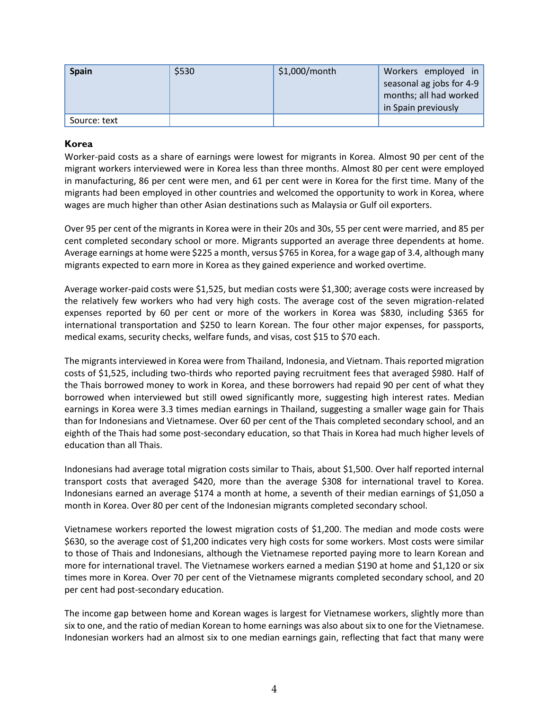| <b>Spain</b> | \$530 | $$1,000/m$ onth | Workers employed in<br>seasonal ag jobs for 4-9<br>months; all had worked |
|--------------|-------|-----------------|---------------------------------------------------------------------------|
|              |       |                 | in Spain previously                                                       |
| Source: text |       |                 |                                                                           |

#### **Korea**

Worker-paid costs as a share of earnings were lowest for migrants in Korea. Almost 90 per cent of the migrant workers interviewed were in Korea less than three months. Almost 80 per cent were employed in manufacturing, 86 per cent were men, and 61 per cent were in Korea for the first time. Many of the migrants had been employed in other countries and welcomed the opportunity to work in Korea, where wages are much higher than other Asian destinations such as Malaysia or Gulf oil exporters.

Over 95 per cent of the migrants in Korea were in their 20s and 30s, 55 per cent were married, and 85 per cent completed secondary school or more. Migrants supported an average three dependents at home. Average earnings at home were \$225 a month, versus \$765 in Korea, for a wage gap of 3.4, although many migrants expected to earn more in Korea as they gained experience and worked overtime.

Average worker-paid costs were \$1,525, but median costs were \$1,300; average costs were increased by the relatively few workers who had very high costs. The average cost of the seven migration-related expenses reported by 60 per cent or more of the workers in Korea was \$830, including \$365 for international transportation and \$250 to learn Korean. The four other major expenses, for passports, medical exams, security checks, welfare funds, and visas, cost \$15 to \$70 each.

The migrants interviewed in Korea were from Thailand, Indonesia, and Vietnam. Thais reported migration costs of \$1,525, including two-thirds who reported paying recruitment fees that averaged \$980. Half of the Thais borrowed money to work in Korea, and these borrowers had repaid 90 per cent of what they borrowed when interviewed but still owed significantly more, suggesting high interest rates. Median earnings in Korea were 3.3 times median earnings in Thailand, suggesting a smaller wage gain for Thais than for Indonesians and Vietnamese. Over 60 per cent of the Thais completed secondary school, and an eighth of the Thais had some post-secondary education, so that Thais in Korea had much higher levels of education than all Thais.

Indonesians had average total migration costs similar to Thais, about \$1,500. Over half reported internal transport costs that averaged \$420, more than the average \$308 for international travel to Korea. Indonesians earned an average \$174 a month at home, a seventh of their median earnings of \$1,050 a month in Korea. Over 80 per cent of the Indonesian migrants completed secondary school.

Vietnamese workers reported the lowest migration costs of \$1,200. The median and mode costs were \$630, so the average cost of \$1,200 indicates very high costs for some workers. Most costs were similar to those of Thais and Indonesians, although the Vietnamese reported paying more to learn Korean and more for international travel. The Vietnamese workers earned a median \$190 at home and \$1,120 or six times more in Korea. Over 70 per cent of the Vietnamese migrants completed secondary school, and 20 per cent had post-secondary education.

The income gap between home and Korean wages is largest for Vietnamese workers, slightly more than six to one, and the ratio of median Korean to home earnings was also about six to one for the Vietnamese. Indonesian workers had an almost six to one median earnings gain, reflecting that fact that many were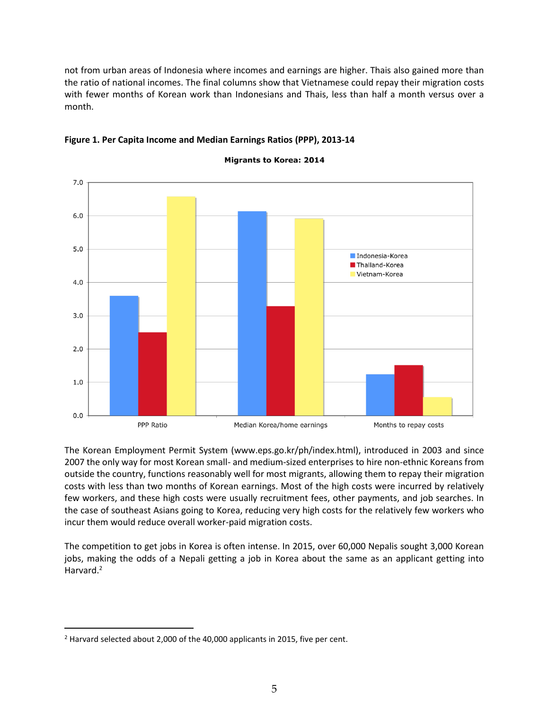not from urban areas of Indonesia where incomes and earnings are higher. Thais also gained more than the ratio of national incomes. The final columns show that Vietnamese could repay their migration costs with fewer months of Korean work than Indonesians and Thais, less than half a month versus over a month.



### **Figure 1. Per Capita Income and Median Earnings Ratios (PPP), 2013-14**

**Migrants to Korea: 2014** 

The Korean Employment Permit System (www.eps.go.kr/ph/index.html), introduced in 2003 and since 2007 the only way for most Korean small- and medium-sized enterprises to hire non-ethnic Koreans from outside the country, functions reasonably well for most migrants, allowing them to repay their migration costs with less than two months of Korean earnings. Most of the high costs were incurred by relatively few workers, and these high costs were usually recruitment fees, other payments, and job searches. In the case of southeast Asians going to Korea, reducing very high costs for the relatively few workers who incur them would reduce overall worker-paid migration costs.

The competition to get jobs in Korea is often intense. In 2015, over 60,000 Nepalis sought 3,000 Korean jobs, making the odds of a Nepali getting a job in Korea about the same as an applicant getting into Harvard.<sup>2</sup>

 $\overline{a}$ 

<sup>&</sup>lt;sup>2</sup> Harvard selected about 2,000 of the 40,000 applicants in 2015, five per cent.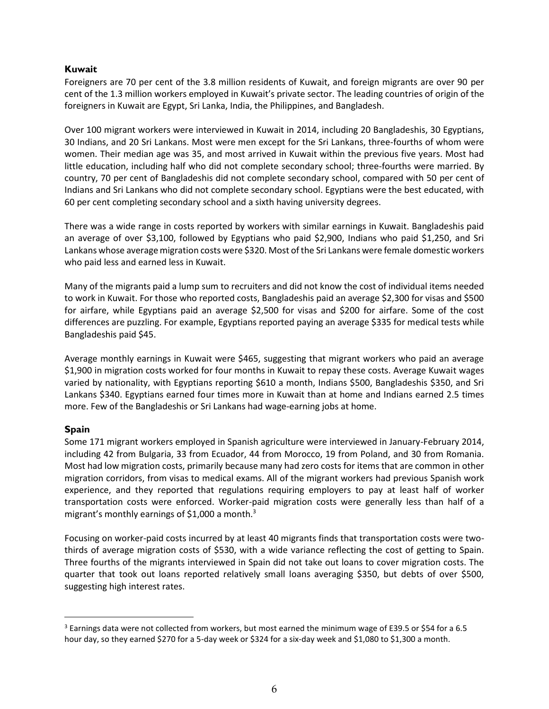#### **Kuwait**

Foreigners are 70 per cent of the 3.8 million residents of Kuwait, and foreign migrants are over 90 per cent of the 1.3 million workers employed in Kuwait's private sector. The leading countries of origin of the foreigners in Kuwait are Egypt, Sri Lanka, India, the Philippines, and Bangladesh.

Over 100 migrant workers were interviewed in Kuwait in 2014, including 20 Bangladeshis, 30 Egyptians, 30 Indians, and 20 Sri Lankans. Most were men except for the Sri Lankans, three-fourths of whom were women. Their median age was 35, and most arrived in Kuwait within the previous five years. Most had little education, including half who did not complete secondary school; three-fourths were married. By country, 70 per cent of Bangladeshis did not complete secondary school, compared with 50 per cent of Indians and Sri Lankans who did not complete secondary school. Egyptians were the best educated, with 60 per cent completing secondary school and a sixth having university degrees.

There was a wide range in costs reported by workers with similar earnings in Kuwait. Bangladeshis paid an average of over \$3,100, followed by Egyptians who paid \$2,900, Indians who paid \$1,250, and Sri Lankans whose average migration costs were \$320. Most of the Sri Lankans were female domestic workers who paid less and earned less in Kuwait.

Many of the migrants paid a lump sum to recruiters and did not know the cost of individual items needed to work in Kuwait. For those who reported costs, Bangladeshis paid an average \$2,300 for visas and \$500 for airfare, while Egyptians paid an average \$2,500 for visas and \$200 for airfare. Some of the cost differences are puzzling. For example, Egyptians reported paying an average \$335 for medical tests while Bangladeshis paid \$45.

Average monthly earnings in Kuwait were \$465, suggesting that migrant workers who paid an average \$1,900 in migration costs worked for four months in Kuwait to repay these costs. Average Kuwait wages varied by nationality, with Egyptians reporting \$610 a month, Indians \$500, Bangladeshis \$350, and Sri Lankans \$340. Egyptians earned four times more in Kuwait than at home and Indians earned 2.5 times more. Few of the Bangladeshis or Sri Lankans had wage-earning jobs at home.

#### **Spain**

 $\overline{a}$ 

Some 171 migrant workers employed in Spanish agriculture were interviewed in January-February 2014, including 42 from Bulgaria, 33 from Ecuador, 44 from Morocco, 19 from Poland, and 30 from Romania. Most had low migration costs, primarily because many had zero costs for items that are common in other migration corridors, from visas to medical exams. All of the migrant workers had previous Spanish work experience, and they reported that regulations requiring employers to pay at least half of worker transportation costs were enforced. Worker-paid migration costs were generally less than half of a migrant's monthly earnings of \$1,000 a month. $3$ 

Focusing on worker-paid costs incurred by at least 40 migrants finds that transportation costs were twothirds of average migration costs of \$530, with a wide variance reflecting the cost of getting to Spain. Three fourths of the migrants interviewed in Spain did not take out loans to cover migration costs. The quarter that took out loans reported relatively small loans averaging \$350, but debts of over \$500, suggesting high interest rates.

<sup>3</sup> Earnings data were not collected from workers, but most earned the minimum wage of E39.5 or \$54 for a 6.5 hour day, so they earned \$270 for a 5-day week or \$324 for a six-day week and \$1,080 to \$1,300 a month.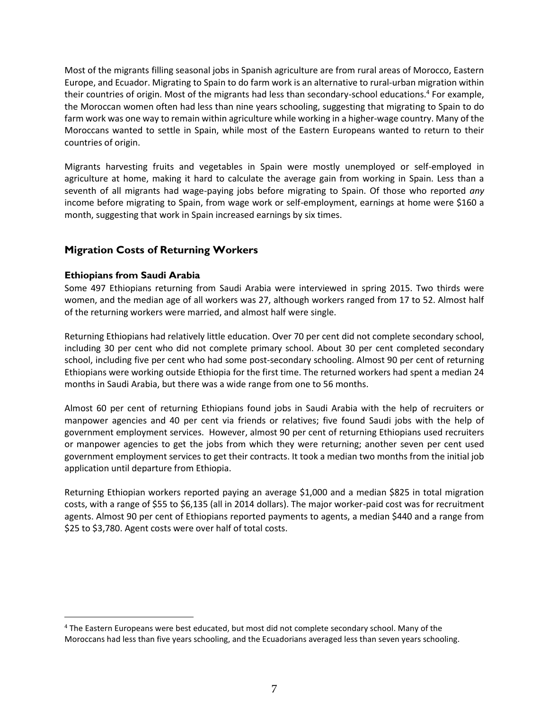Most of the migrants filling seasonal jobs in Spanish agriculture are from rural areas of Morocco, Eastern Europe, and Ecuador. Migrating to Spain to do farm work is an alternative to rural-urban migration within their countries of origin. Most of the migrants had less than secondary-school educations.<sup>4</sup> For example, the Moroccan women often had less than nine years schooling, suggesting that migrating to Spain to do farm work was one way to remain within agriculture while working in a higher-wage country. Many of the Moroccans wanted to settle in Spain, while most of the Eastern Europeans wanted to return to their countries of origin.

Migrants harvesting fruits and vegetables in Spain were mostly unemployed or self-employed in agriculture at home, making it hard to calculate the average gain from working in Spain. Less than a seventh of all migrants had wage-paying jobs before migrating to Spain. Of those who reported *any* income before migrating to Spain, from wage work or self-employment, earnings at home were \$160 a month, suggesting that work in Spain increased earnings by six times.

# **Migration Costs of Returning Workers**

#### **Ethiopians from Saudi Arabia**

 $\overline{a}$ 

Some 497 Ethiopians returning from Saudi Arabia were interviewed in spring 2015. Two thirds were women, and the median age of all workers was 27, although workers ranged from 17 to 52. Almost half of the returning workers were married, and almost half were single.

Returning Ethiopians had relatively little education. Over 70 per cent did not complete secondary school, including 30 per cent who did not complete primary school. About 30 per cent completed secondary school, including five per cent who had some post-secondary schooling. Almost 90 per cent of returning Ethiopians were working outside Ethiopia for the first time. The returned workers had spent a median 24 months in Saudi Arabia, but there was a wide range from one to 56 months.

Almost 60 per cent of returning Ethiopians found jobs in Saudi Arabia with the help of recruiters or manpower agencies and 40 per cent via friends or relatives; five found Saudi jobs with the help of government employment services. However, almost 90 per cent of returning Ethiopians used recruiters or manpower agencies to get the jobs from which they were returning; another seven per cent used government employment services to get their contracts. It took a median two months from the initial job application until departure from Ethiopia.

Returning Ethiopian workers reported paying an average \$1,000 and a median \$825 in total migration costs, with a range of \$55 to \$6,135 (all in 2014 dollars). The major worker-paid cost was for recruitment agents. Almost 90 per cent of Ethiopians reported payments to agents, a median \$440 and a range from \$25 to \$3,780. Agent costs were over half of total costs.

<sup>&</sup>lt;sup>4</sup> The Eastern Europeans were best educated, but most did not complete secondary school. Many of the Moroccans had less than five years schooling, and the Ecuadorians averaged less than seven years schooling.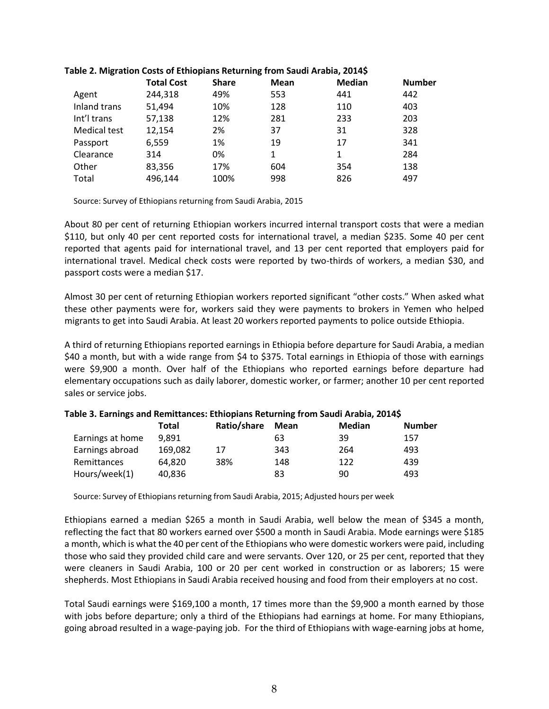|                     | <b>Total Cost</b> | <b>Share</b> | <b>Mean</b> | <b>Median</b> | <b>Number</b> |
|---------------------|-------------------|--------------|-------------|---------------|---------------|
| Agent               | 244,318           | 49%          | 553         | 441           | 442           |
| Inland trans        | 51,494            | 10%          | 128         | 110           | 403           |
| Int'l trans         | 57,138            | 12%          | 281         | 233           | 203           |
| <b>Medical test</b> | 12,154            | 2%           | 37          | 31            | 328           |
| Passport            | 6,559             | 1%           | 19          | 17            | 341           |
| Clearance           | 314               | 0%           | 1           | 1             | 284           |
| Other               | 83,356            | 17%          | 604         | 354           | 138           |
| Total               | 496,144           | 100%         | 998         | 826           | 497           |

#### **Table 2. Migration Costs of Ethiopians Returning from Saudi Arabia, 2014\$**

Source: Survey of Ethiopians returning from Saudi Arabia, 2015

About 80 per cent of returning Ethiopian workers incurred internal transport costs that were a median \$110, but only 40 per cent reported costs for international travel, a median \$235. Some 40 per cent reported that agents paid for international travel, and 13 per cent reported that employers paid for international travel. Medical check costs were reported by two-thirds of workers, a median \$30, and passport costs were a median \$17.

Almost 30 per cent of returning Ethiopian workers reported significant "other costs." When asked what these other payments were for, workers said they were payments to brokers in Yemen who helped migrants to get into Saudi Arabia. At least 20 workers reported payments to police outside Ethiopia.

A third of returning Ethiopians reported earnings in Ethiopia before departure for Saudi Arabia, a median \$40 a month, but with a wide range from \$4 to \$375. Total earnings in Ethiopia of those with earnings were \$9,900 a month. Over half of the Ethiopians who reported earnings before departure had elementary occupations such as daily laborer, domestic worker, or farmer; another 10 per cent reported sales or service jobs.

|                  | Total   | Ratio/share | Mean | <b>Median</b> | <b>Number</b> |
|------------------|---------|-------------|------|---------------|---------------|
| Earnings at home | 9.891   |             | 63   | 39            | 157           |
| Earnings abroad  | 169,082 | 17          | 343  | 264           | 493           |
| Remittances      | 64.820  | 38%         | 148  | 122           | 439           |
| Hours/week(1)    | 40,836  |             | 83   | 90            | 493           |

#### **Table 3. Earnings and Remittances: Ethiopians Returning from Saudi Arabia, 2014\$**

Source: Survey of Ethiopians returning from Saudi Arabia, 2015; Adjusted hours per week

Ethiopians earned a median \$265 a month in Saudi Arabia, well below the mean of \$345 a month, reflecting the fact that 80 workers earned over \$500 a month in Saudi Arabia. Mode earnings were \$185 a month, which is what the 40 per cent of the Ethiopians who were domestic workers were paid, including those who said they provided child care and were servants. Over 120, or 25 per cent, reported that they were cleaners in Saudi Arabia, 100 or 20 per cent worked in construction or as laborers; 15 were shepherds. Most Ethiopians in Saudi Arabia received housing and food from their employers at no cost.

Total Saudi earnings were \$169,100 a month, 17 times more than the \$9,900 a month earned by those with jobs before departure; only a third of the Ethiopians had earnings at home. For many Ethiopians, going abroad resulted in a wage-paying job. For the third of Ethiopians with wage-earning jobs at home,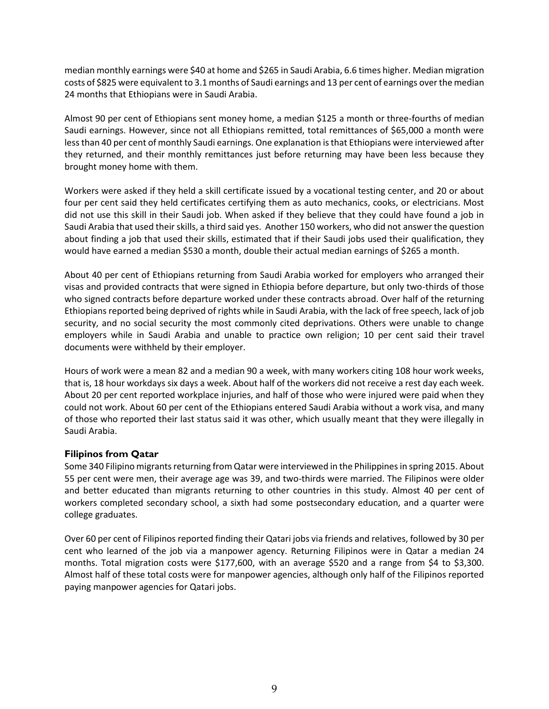median monthly earnings were \$40 at home and \$265 in Saudi Arabia, 6.6 times higher. Median migration costs of \$825 were equivalent to 3.1 months of Saudi earnings and 13 per cent of earnings over the median 24 months that Ethiopians were in Saudi Arabia.

Almost 90 per cent of Ethiopians sent money home, a median \$125 a month or three-fourths of median Saudi earnings. However, since not all Ethiopians remitted, total remittances of \$65,000 a month were less than 40 per cent of monthly Saudi earnings. One explanation is that Ethiopians were interviewed after they returned, and their monthly remittances just before returning may have been less because they brought money home with them.

Workers were asked if they held a skill certificate issued by a vocational testing center, and 20 or about four per cent said they held certificates certifying them as auto mechanics, cooks, or electricians. Most did not use this skill in their Saudi job. When asked if they believe that they could have found a job in Saudi Arabia that used their skills, a third said yes. Another 150 workers, who did not answer the question about finding a job that used their skills, estimated that if their Saudi jobs used their qualification, they would have earned a median \$530 a month, double their actual median earnings of \$265 a month.

About 40 per cent of Ethiopians returning from Saudi Arabia worked for employers who arranged their visas and provided contracts that were signed in Ethiopia before departure, but only two-thirds of those who signed contracts before departure worked under these contracts abroad. Over half of the returning Ethiopians reported being deprived of rights while in Saudi Arabia, with the lack of free speech, lack of job security, and no social security the most commonly cited deprivations. Others were unable to change employers while in Saudi Arabia and unable to practice own religion; 10 per cent said their travel documents were withheld by their employer.

Hours of work were a mean 82 and a median 90 a week, with many workers citing 108 hour work weeks, that is, 18 hour workdays six days a week. About half of the workers did not receive a rest day each week. About 20 per cent reported workplace injuries, and half of those who were injured were paid when they could not work. About 60 per cent of the Ethiopians entered Saudi Arabia without a work visa, and many of those who reported their last status said it was other, which usually meant that they were illegally in Saudi Arabia.

### **Filipinos from Qatar**

Some 340 Filipino migrants returning from Qatar were interviewed in the Philippinesin spring 2015. About 55 per cent were men, their average age was 39, and two-thirds were married. The Filipinos were older and better educated than migrants returning to other countries in this study. Almost 40 per cent of workers completed secondary school, a sixth had some postsecondary education, and a quarter were college graduates.

Over 60 per cent of Filipinos reported finding their Qatari jobs via friends and relatives, followed by 30 per cent who learned of the job via a manpower agency. Returning Filipinos were in Qatar a median 24 months. Total migration costs were \$177,600, with an average \$520 and a range from \$4 to \$3,300. Almost half of these total costs were for manpower agencies, although only half of the Filipinos reported paying manpower agencies for Qatari jobs.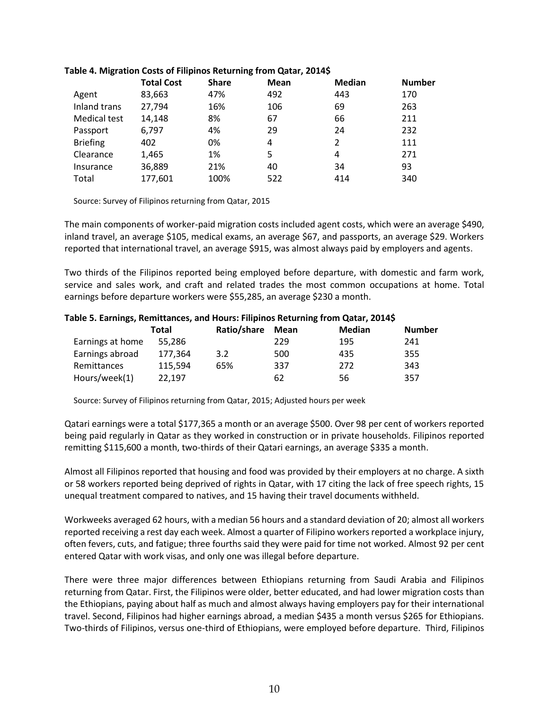|                 | <b>Total Cost</b> | <b>Share</b> | Mean | <b>Median</b> | <b>Number</b> |
|-----------------|-------------------|--------------|------|---------------|---------------|
| Agent           | 83,663            | 47%          | 492  | 443           | 170           |
| Inland trans    | 27,794            | 16%          | 106  | 69            | 263           |
| Medical test    | 14,148            | 8%           | 67   | 66            | 211           |
| Passport        | 6,797             | 4%           | 29   | 24            | 232           |
| <b>Briefing</b> | 402               | 0%           | 4    | 2             | 111           |
| Clearance       | 1,465             | 1%           | 5    | 4             | 271           |
| Insurance       | 36,889            | 21%          | 40   | 34            | 93            |
| Total           | 177,601           | 100%         | 522  | 414           | 340           |

#### **Table 4. Migration Costs of Filipinos Returning from Qatar, 2014\$**

Source: Survey of Filipinos returning from Qatar, 2015

The main components of worker-paid migration costs included agent costs, which were an average \$490, inland travel, an average \$105, medical exams, an average \$67, and passports, an average \$29. Workers reported that international travel, an average \$915, was almost always paid by employers and agents.

Two thirds of the Filipinos reported being employed before departure, with domestic and farm work, service and sales work, and craft and related trades the most common occupations at home. Total earnings before departure workers were \$55,285, an average \$230 a month.

#### **Table 5. Earnings, Remittances, and Hours: Filipinos Returning from Qatar, 2014\$**

|                    | Total   | Ratio/share | Mean | <b>Median</b> | <b>Number</b> |
|--------------------|---------|-------------|------|---------------|---------------|
| Earnings at home   | 55.286  |             | 229  | 195           | 241           |
| Earnings abroad    | 177,364 | 3.2         | 500  | 435           | 355           |
| <b>Remittances</b> | 115.594 | 65%         | 337  | 272           | 343           |
| Hours/week(1)      | 22.197  |             | 62   | 56            | 357           |

Source: Survey of Filipinos returning from Qatar, 2015; Adjusted hours per week

Qatari earnings were a total \$177,365 a month or an average \$500. Over 98 per cent of workers reported being paid regularly in Qatar as they worked in construction or in private households. Filipinos reported remitting \$115,600 a month, two-thirds of their Qatari earnings, an average \$335 a month.

Almost all Filipinos reported that housing and food was provided by their employers at no charge. A sixth or 58 workers reported being deprived of rights in Qatar, with 17 citing the lack of free speech rights, 15 unequal treatment compared to natives, and 15 having their travel documents withheld.

Workweeks averaged 62 hours, with a median 56 hours and a standard deviation of 20; almost all workers reported receiving a rest day each week. Almost a quarter of Filipino workers reported a workplace injury, often fevers, cuts, and fatigue; three fourths said they were paid for time not worked. Almost 92 per cent entered Qatar with work visas, and only one was illegal before departure.

There were three major differences between Ethiopians returning from Saudi Arabia and Filipinos returning from Qatar. First, the Filipinos were older, better educated, and had lower migration costs than the Ethiopians, paying about half as much and almost always having employers pay for their international travel. Second, Filipinos had higher earnings abroad, a median \$435 a month versus \$265 for Ethiopians. Two-thirds of Filipinos, versus one-third of Ethiopians, were employed before departure. Third, Filipinos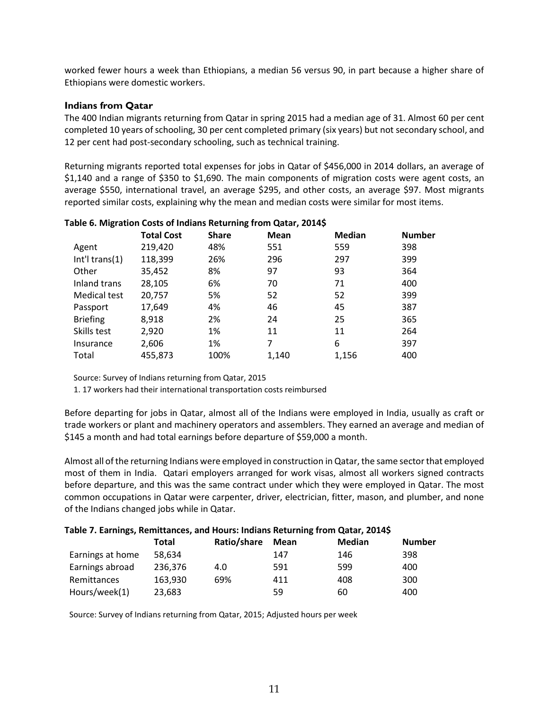worked fewer hours a week than Ethiopians, a median 56 versus 90, in part because a higher share of Ethiopians were domestic workers.

#### **Indians from Qatar**

The 400 Indian migrants returning from Qatar in spring 2015 had a median age of 31. Almost 60 per cent completed 10 years of schooling, 30 per cent completed primary (six years) but not secondary school, and 12 per cent had post-secondary schooling, such as technical training.

Returning migrants reported total expenses for jobs in Qatar of \$456,000 in 2014 dollars, an average of \$1,140 and a range of \$350 to \$1,690. The main components of migration costs were agent costs, an average \$550, international travel, an average \$295, and other costs, an average \$97. Most migrants reported similar costs, explaining why the mean and median costs were similar for most items.

|                   | <b>Total Cost</b> | <b>Share</b> | <b>Mean</b> | <b>Median</b> | <b>Number</b> |
|-------------------|-------------------|--------------|-------------|---------------|---------------|
| Agent             | 219,420           | 48%          | 551         | 559           | 398           |
| Int'l trans $(1)$ | 118,399           | 26%          | 296         | 297           | 399           |
| Other             | 35,452            | 8%           | 97          | 93            | 364           |
| Inland trans      | 28,105            | 6%           | 70          | 71            | 400           |
| Medical test      | 20,757            | 5%           | 52          | 52            | 399           |
| Passport          | 17,649            | 4%           | 46          | 45            | 387           |
| <b>Briefing</b>   | 8,918             | 2%           | 24          | 25            | 365           |
| Skills test       | 2,920             | 1%           | 11          | 11            | 264           |
| Insurance         | 2,606             | 1%           | 7           | 6             | 397           |
| Total             | 455,873           | 100%         | 1,140       | 1,156         | 400           |

#### **Table 6. Migration Costs of Indians Returning from Qatar, 2014\$**

Source: Survey of Indians returning from Qatar, 2015

1. 17 workers had their international transportation costs reimbursed

Before departing for jobs in Qatar, almost all of the Indians were employed in India, usually as craft or trade workers or plant and machinery operators and assemblers. They earned an average and median of \$145 a month and had total earnings before departure of \$59,000 a month.

Almost all of the returning Indians were employed in construction in Qatar, the same sector that employed most of them in India. Qatari employers arranged for work visas, almost all workers signed contracts before departure, and this was the same contract under which they were employed in Qatar. The most common occupations in Qatar were carpenter, driver, electrician, fitter, mason, and plumber, and none of the Indians changed jobs while in Qatar.

| Table 7. Earnings, Remittances, and Hours: Indians Returning from Qatar, 2014\$ |         |             |      |               |               |
|---------------------------------------------------------------------------------|---------|-------------|------|---------------|---------------|
|                                                                                 | Total   | Ratio/share | Mean | <b>Median</b> | <b>Number</b> |
| Earnings at home                                                                | 58.634  |             | 147  | 146           | 398           |
| Earnings abroad                                                                 | 236,376 | 4.0         | 591  | 599           | 400           |
| Remittances                                                                     | 163,930 | 69%         | 411  | 408           | 300           |
| Hours/week(1)                                                                   | 23,683  |             | 59   | 60            | 400           |

Source: Survey of Indians returning from Qatar, 2015; Adjusted hours per week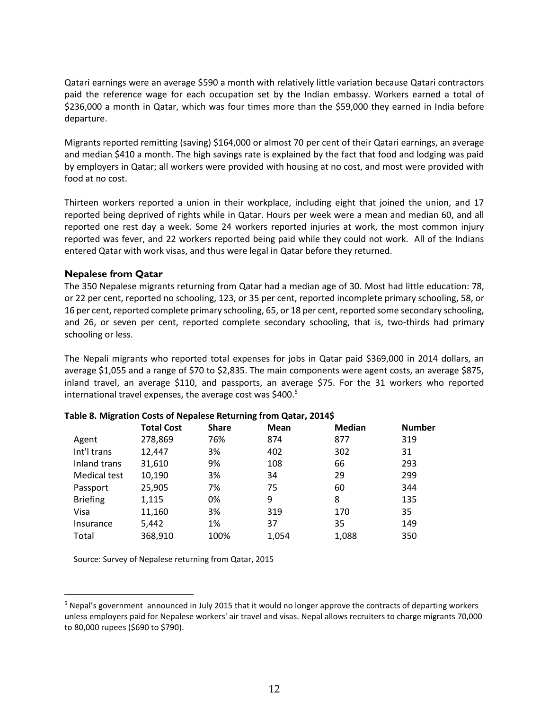Qatari earnings were an average \$590 a month with relatively little variation because Qatari contractors paid the reference wage for each occupation set by the Indian embassy. Workers earned a total of \$236,000 a month in Qatar, which was four times more than the \$59,000 they earned in India before departure.

Migrants reported remitting (saving) \$164,000 or almost 70 per cent of their Qatari earnings, an average and median \$410 a month. The high savings rate is explained by the fact that food and lodging was paid by employers in Qatar; all workers were provided with housing at no cost, and most were provided with food at no cost.

Thirteen workers reported a union in their workplace, including eight that joined the union, and 17 reported being deprived of rights while in Qatar. Hours per week were a mean and median 60, and all reported one rest day a week. Some 24 workers reported injuries at work, the most common injury reported was fever, and 22 workers reported being paid while they could not work. All of the Indians entered Qatar with work visas, and thus were legal in Qatar before they returned.

#### **Nepalese from Qatar**

 $\overline{a}$ 

The 350 Nepalese migrants returning from Qatar had a median age of 30. Most had little education: 78, or 22 per cent, reported no schooling, 123, or 35 per cent, reported incomplete primary schooling, 58, or 16 per cent, reported complete primary schooling, 65, or 18 per cent, reported some secondary schooling, and 26, or seven per cent, reported complete secondary schooling, that is, two-thirds had primary schooling or less.

The Nepali migrants who reported total expenses for jobs in Qatar paid \$369,000 in 2014 dollars, an average \$1,055 and a range of \$70 to \$2,835. The main components were agent costs, an average \$875, inland travel, an average \$110, and passports, an average \$75. For the 31 workers who reported international travel expenses, the average cost was \$400.<sup>5</sup>

|                 | <b>Total Cost</b> | <b>Share</b> | <b>Mean</b> | <b>Median</b> | <b>Number</b> |
|-----------------|-------------------|--------------|-------------|---------------|---------------|
| Agent           | 278,869           | 76%          | 874         | 877           | 319           |
| Int'l trans     | 12.447            | 3%           | 402         | 302           | 31            |
| Inland trans    | 31,610            | 9%           | 108         | 66            | 293           |
| Medical test    | 10,190            | 3%           | 34          | 29            | 299           |
| Passport        | 25,905            | 7%           | 75          | 60            | 344           |
| <b>Briefing</b> | 1,115             | 0%           | 9           | 8             | 135           |
| Visa            | 11,160            | 3%           | 319         | 170           | 35            |
| Insurance       | 5,442             | 1%           | 37          | 35            | 149           |
| Total           | 368,910           | 100%         | 1,054       | 1,088         | 350           |

#### **Table 8. Migration Costs of Nepalese Returning from Qatar, 2014\$**

Source: Survey of Nepalese returning from Qatar, 2015

<sup>5</sup> Nepal's government announced in July 2015 that it would no longer approve the contracts of departing workers unless employers paid for Nepalese workers' air travel and visas. Nepal allows recruiters to charge migrants 70,000 to 80,000 rupees (\$690 to \$790).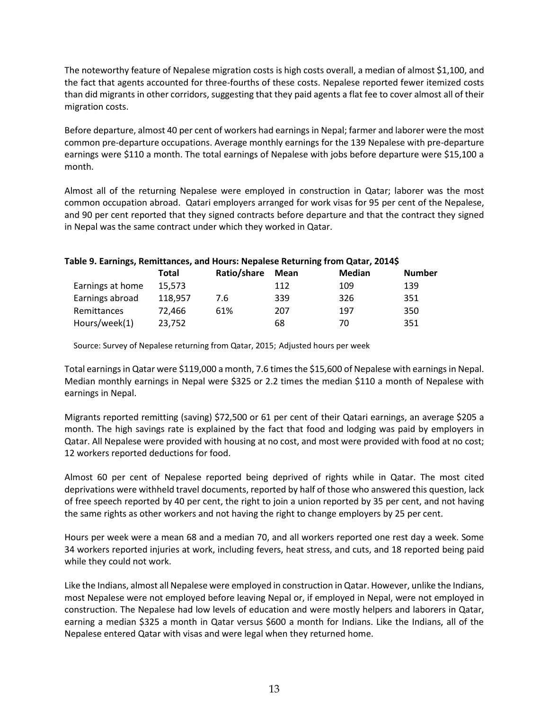The noteworthy feature of Nepalese migration costs is high costs overall, a median of almost \$1,100, and the fact that agents accounted for three-fourths of these costs. Nepalese reported fewer itemized costs than did migrants in other corridors, suggesting that they paid agents a flat fee to cover almost all of their migration costs.

Before departure, almost 40 per cent of workers had earnings in Nepal; farmer and laborer were the most common pre-departure occupations. Average monthly earnings for the 139 Nepalese with pre-departure earnings were \$110 a month. The total earnings of Nepalese with jobs before departure were \$15,100 a month.

Almost all of the returning Nepalese were employed in construction in Qatar; laborer was the most common occupation abroad. Qatari employers arranged for work visas for 95 per cent of the Nepalese, and 90 per cent reported that they signed contracts before departure and that the contract they signed in Nepal was the same contract under which they worked in Qatar.

|                  | Total   | Ratio/share | Mean | <b>Median</b> | <b>Number</b> |
|------------------|---------|-------------|------|---------------|---------------|
| Earnings at home | 15.573  |             | 112  | 109           | 139           |
| Earnings abroad  | 118,957 | 7.6         | 339  | 326           | 351           |
| Remittances      | 72.466  | 61%         | 207  | 197           | 350           |
| Hours/week(1)    | 23,752  |             | 68   | 70            | 351           |

#### **Table 9. Earnings, Remittances, and Hours: Nepalese Returning from Qatar, 2014\$**

Source: Survey of Nepalese returning from Qatar, 2015; Adjusted hours per week

Total earnings in Qatar were \$119,000 a month, 7.6 times the \$15,600 of Nepalese with earnings in Nepal. Median monthly earnings in Nepal were \$325 or 2.2 times the median \$110 a month of Nepalese with earnings in Nepal.

Migrants reported remitting (saving) \$72,500 or 61 per cent of their Qatari earnings, an average \$205 a month. The high savings rate is explained by the fact that food and lodging was paid by employers in Qatar. All Nepalese were provided with housing at no cost, and most were provided with food at no cost; 12 workers reported deductions for food.

Almost 60 per cent of Nepalese reported being deprived of rights while in Qatar. The most cited deprivations were withheld travel documents, reported by half of those who answered this question, lack of free speech reported by 40 per cent, the right to join a union reported by 35 per cent, and not having the same rights as other workers and not having the right to change employers by 25 per cent.

Hours per week were a mean 68 and a median 70, and all workers reported one rest day a week. Some 34 workers reported injuries at work, including fevers, heat stress, and cuts, and 18 reported being paid while they could not work.

Like the Indians, almost all Nepalese were employed in construction in Qatar. However, unlike the Indians, most Nepalese were not employed before leaving Nepal or, if employed in Nepal, were not employed in construction. The Nepalese had low levels of education and were mostly helpers and laborers in Qatar, earning a median \$325 a month in Qatar versus \$600 a month for Indians. Like the Indians, all of the Nepalese entered Qatar with visas and were legal when they returned home.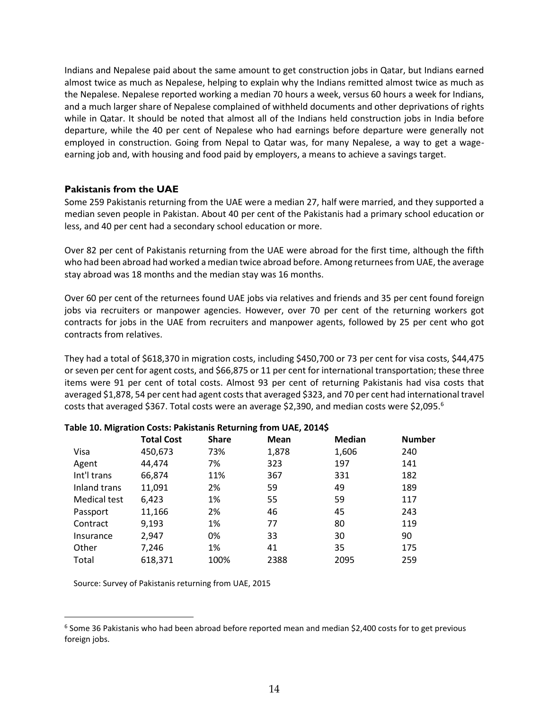Indians and Nepalese paid about the same amount to get construction jobs in Qatar, but Indians earned almost twice as much as Nepalese, helping to explain why the Indians remitted almost twice as much as the Nepalese. Nepalese reported working a median 70 hours a week, versus 60 hours a week for Indians, and a much larger share of Nepalese complained of withheld documents and other deprivations of rights while in Qatar. It should be noted that almost all of the Indians held construction jobs in India before departure, while the 40 per cent of Nepalese who had earnings before departure were generally not employed in construction. Going from Nepal to Qatar was, for many Nepalese, a way to get a wageearning job and, with housing and food paid by employers, a means to achieve a savings target.

#### **Pakistanis from the UAE**

Some 259 Pakistanis returning from the UAE were a median 27, half were married, and they supported a median seven people in Pakistan. About 40 per cent of the Pakistanis had a primary school education or less, and 40 per cent had a secondary school education or more.

Over 82 per cent of Pakistanis returning from the UAE were abroad for the first time, although the fifth who had been abroad had worked a median twice abroad before. Among returnees from UAE, the average stay abroad was 18 months and the median stay was 16 months.

Over 60 per cent of the returnees found UAE jobs via relatives and friends and 35 per cent found foreign jobs via recruiters or manpower agencies. However, over 70 per cent of the returning workers got contracts for jobs in the UAE from recruiters and manpower agents, followed by 25 per cent who got contracts from relatives.

They had a total of \$618,370 in migration costs, including \$450,700 or 73 per cent for visa costs, \$44,475 or seven per cent for agent costs, and \$66,875 or 11 per cent for international transportation; these three items were 91 per cent of total costs. Almost 93 per cent of returning Pakistanis had visa costs that averaged \$1,878, 54 per cent had agent costs that averaged \$323, and 70 per cent had international travel costs that averaged \$367. Total costs were an average \$2,390, and median costs were \$2,095.<sup>6</sup>

|              | <b>Total Cost</b> | <b>Share</b> | <b>Mean</b> | <b>Median</b> | <b>Number</b> |
|--------------|-------------------|--------------|-------------|---------------|---------------|
| Visa         | 450,673           | 73%          | 1,878       | 1,606         | 240           |
| Agent        | 44,474            | 7%           | 323         | 197           | 141           |
| Int'l trans  | 66,874            | 11%          | 367         | 331           | 182           |
| Inland trans | 11,091            | 2%           | 59          | 49            | 189           |
| Medical test | 6,423             | 1%           | 55          | 59            | 117           |
| Passport     | 11,166            | 2%           | 46          | 45            | 243           |
| Contract     | 9,193             | 1%           | 77          | 80            | 119           |
| Insurance    | 2,947             | 0%           | 33          | 30            | 90            |
| Other        | 7,246             | 1%           | 41          | 35            | 175           |
| Total        | 618,371           | 100%         | 2388        | 2095          | 259           |
|              |                   |              |             |               |               |

#### **Table 10. Migration Costs: Pakistanis Returning from UAE, 2014\$**

Source: Survey of Pakistanis returning from UAE, 2015

 $\overline{a}$ 

<sup>&</sup>lt;sup>6</sup> Some 36 Pakistanis who had been abroad before reported mean and median \$2,400 costs for to get previous foreign jobs.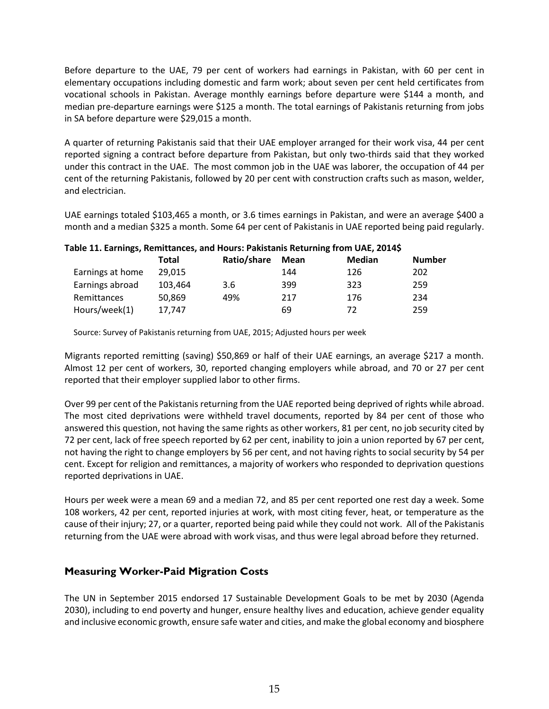Before departure to the UAE, 79 per cent of workers had earnings in Pakistan, with 60 per cent in elementary occupations including domestic and farm work; about seven per cent held certificates from vocational schools in Pakistan. Average monthly earnings before departure were \$144 a month, and median pre-departure earnings were \$125 a month. The total earnings of Pakistanis returning from jobs in SA before departure were \$29,015 a month.

A quarter of returning Pakistanis said that their UAE employer arranged for their work visa, 44 per cent reported signing a contract before departure from Pakistan, but only two-thirds said that they worked under this contract in the UAE. The most common job in the UAE was laborer, the occupation of 44 per cent of the returning Pakistanis, followed by 20 per cent with construction crafts such as mason, welder, and electrician.

UAE earnings totaled \$103,465 a month, or 3.6 times earnings in Pakistan, and were an average \$400 a month and a median \$325 a month. Some 64 per cent of Pakistanis in UAE reported being paid regularly.

| rable 11. Earnings, Remittances, and Hours: Pakistanis Returning from OAE, 20145 |         |             |             |               |               |
|----------------------------------------------------------------------------------|---------|-------------|-------------|---------------|---------------|
|                                                                                  | Total   | Ratio/share | <b>Mean</b> | <b>Median</b> | <b>Number</b> |
| Earnings at home                                                                 | 29.015  |             | 144         | 126           | 202           |
| Earnings abroad                                                                  | 103.464 | 3.6         | 399         | 323           | 259           |
| <b>Remittances</b>                                                               | 50.869  | 49%         | 217         | 176           | 234           |
| Hours/week(1)                                                                    | 17.747  |             | 69          | 72            | 259           |

# **Table 11. Earnings, Remittances, and Hours: Pakistanis Returning from UAE, 2014\$**

Source: Survey of Pakistanis returning from UAE, 2015; Adjusted hours per week

Migrants reported remitting (saving) \$50,869 or half of their UAE earnings, an average \$217 a month. Almost 12 per cent of workers, 30, reported changing employers while abroad, and 70 or 27 per cent reported that their employer supplied labor to other firms.

Over 99 per cent of the Pakistanis returning from the UAE reported being deprived of rights while abroad. The most cited deprivations were withheld travel documents, reported by 84 per cent of those who answered this question, not having the same rights as other workers, 81 per cent, no job security cited by 72 per cent, lack of free speech reported by 62 per cent, inability to join a union reported by 67 per cent, not having the right to change employers by 56 per cent, and not having rights to social security by 54 per cent. Except for religion and remittances, a majority of workers who responded to deprivation questions reported deprivations in UAE.

Hours per week were a mean 69 and a median 72, and 85 per cent reported one rest day a week. Some 108 workers, 42 per cent, reported injuries at work, with most citing fever, heat, or temperature as the cause of their injury; 27, or a quarter, reported being paid while they could not work. All of the Pakistanis returning from the UAE were abroad with work visas, and thus were legal abroad before they returned.

# **Measuring Worker-Paid Migration Costs**

The UN in September 2015 endorsed 17 Sustainable Development Goals to be met by 2030 (Agenda 2030), including to end poverty and hunger, ensure healthy lives and education, achieve gender equality and inclusive economic growth, ensure safe water and cities, and make the global economy and biosphere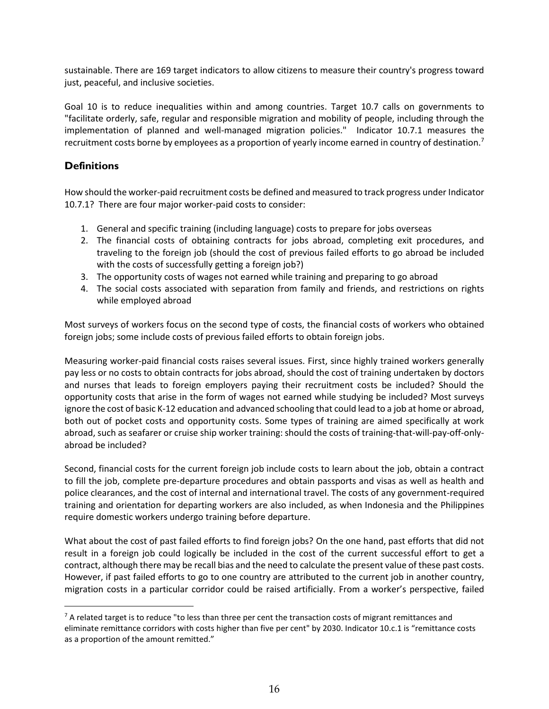sustainable. There are 169 target indicators to allow citizens to measure their country's progress toward just, peaceful, and inclusive societies.

Goal 10 is to reduce inequalities within and among countries. Target 10.7 calls on governments to "facilitate orderly, safe, regular and responsible migration and mobility of people, including through the implementation of planned and well-managed migration policies." Indicator 10.7.1 measures the recruitment costs borne by employees as a proportion of yearly income earned in country of destination.<sup>7</sup>

# **Definitions**

 $\overline{a}$ 

How should the worker-paid recruitment costs be defined and measured to track progress under Indicator 10.7.1? There are four major worker-paid costs to consider:

- 1. General and specific training (including language) costs to prepare for jobs overseas
- 2. The financial costs of obtaining contracts for jobs abroad, completing exit procedures, and traveling to the foreign job (should the cost of previous failed efforts to go abroad be included with the costs of successfully getting a foreign job?)
- 3. The opportunity costs of wages not earned while training and preparing to go abroad
- 4. The social costs associated with separation from family and friends, and restrictions on rights while employed abroad

Most surveys of workers focus on the second type of costs, the financial costs of workers who obtained foreign jobs; some include costs of previous failed efforts to obtain foreign jobs.

Measuring worker-paid financial costs raises several issues. First, since highly trained workers generally pay less or no costs to obtain contracts for jobs abroad, should the cost of training undertaken by doctors and nurses that leads to foreign employers paying their recruitment costs be included? Should the opportunity costs that arise in the form of wages not earned while studying be included? Most surveys ignore the cost of basic K-12 education and advanced schooling that could lead to a job at home or abroad, both out of pocket costs and opportunity costs. Some types of training are aimed specifically at work abroad, such as seafarer or cruise ship worker training: should the costs of training-that-will-pay-off-onlyabroad be included?

Second, financial costs for the current foreign job include costs to learn about the job, obtain a contract to fill the job, complete pre-departure procedures and obtain passports and visas as well as health and police clearances, and the cost of internal and international travel. The costs of any government-required training and orientation for departing workers are also included, as when Indonesia and the Philippines require domestic workers undergo training before departure.

What about the cost of past failed efforts to find foreign jobs? On the one hand, past efforts that did not result in a foreign job could logically be included in the cost of the current successful effort to get a contract, although there may be recall bias and the need to calculate the present value of these past costs. However, if past failed efforts to go to one country are attributed to the current job in another country, migration costs in a particular corridor could be raised artificially. From a worker's perspective, failed

<sup>&</sup>lt;sup>7</sup> A related target is to reduce "to less than three per cent the transaction costs of migrant remittances and eliminate remittance corridors with costs higher than five per cent" by 2030. Indicator 10.c.1 is "remittance costs as a proportion of the amount remitted."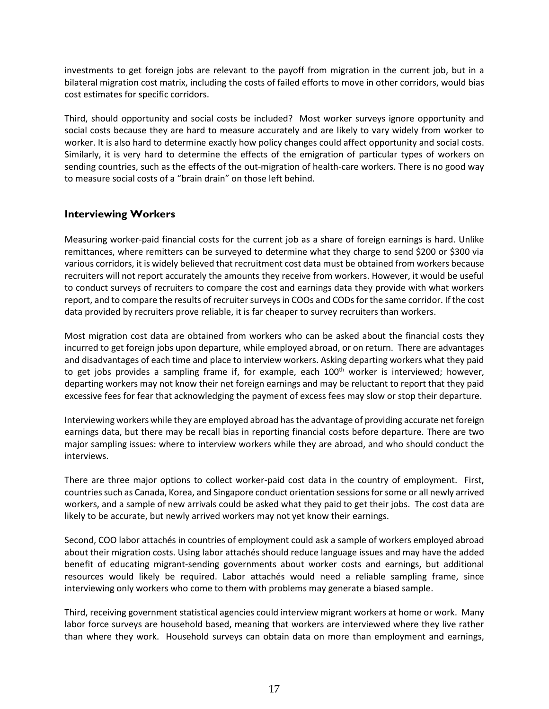investments to get foreign jobs are relevant to the payoff from migration in the current job, but in a bilateral migration cost matrix, including the costs of failed efforts to move in other corridors, would bias cost estimates for specific corridors.

Third, should opportunity and social costs be included? Most worker surveys ignore opportunity and social costs because they are hard to measure accurately and are likely to vary widely from worker to worker. It is also hard to determine exactly how policy changes could affect opportunity and social costs. Similarly, it is very hard to determine the effects of the emigration of particular types of workers on sending countries, such as the effects of the out-migration of health-care workers. There is no good way to measure social costs of a "brain drain" on those left behind.

# **Interviewing Workers**

Measuring worker-paid financial costs for the current job as a share of foreign earnings is hard. Unlike remittances, where remitters can be surveyed to determine what they charge to send \$200 or \$300 via various corridors, it is widely believed that recruitment cost data must be obtained from workers because recruiters will not report accurately the amounts they receive from workers. However, it would be useful to conduct surveys of recruiters to compare the cost and earnings data they provide with what workers report, and to compare the results of recruiter surveys in COOs and CODs for the same corridor. If the cost data provided by recruiters prove reliable, it is far cheaper to survey recruiters than workers.

Most migration cost data are obtained from workers who can be asked about the financial costs they incurred to get foreign jobs upon departure, while employed abroad, or on return. There are advantages and disadvantages of each time and place to interview workers. Asking departing workers what they paid to get jobs provides a sampling frame if, for example, each  $100<sup>th</sup>$  worker is interviewed; however, departing workers may not know their net foreign earnings and may be reluctant to report that they paid excessive fees for fear that acknowledging the payment of excess fees may slow or stop their departure.

Interviewing workers while they are employed abroad has the advantage of providing accurate net foreign earnings data, but there may be recall bias in reporting financial costs before departure. There are two major sampling issues: where to interview workers while they are abroad, and who should conduct the interviews.

There are three major options to collect worker-paid cost data in the country of employment. First, countries such as Canada, Korea, and Singapore conduct orientation sessions for some or all newly arrived workers, and a sample of new arrivals could be asked what they paid to get their jobs. The cost data are likely to be accurate, but newly arrived workers may not yet know their earnings.

Second, COO labor attachés in countries of employment could ask a sample of workers employed abroad about their migration costs. Using labor attachés should reduce language issues and may have the added benefit of educating migrant-sending governments about worker costs and earnings, but additional resources would likely be required. Labor attachés would need a reliable sampling frame, since interviewing only workers who come to them with problems may generate a biased sample.

Third, receiving government statistical agencies could interview migrant workers at home or work. Many labor force surveys are household based, meaning that workers are interviewed where they live rather than where they work. Household surveys can obtain data on more than employment and earnings,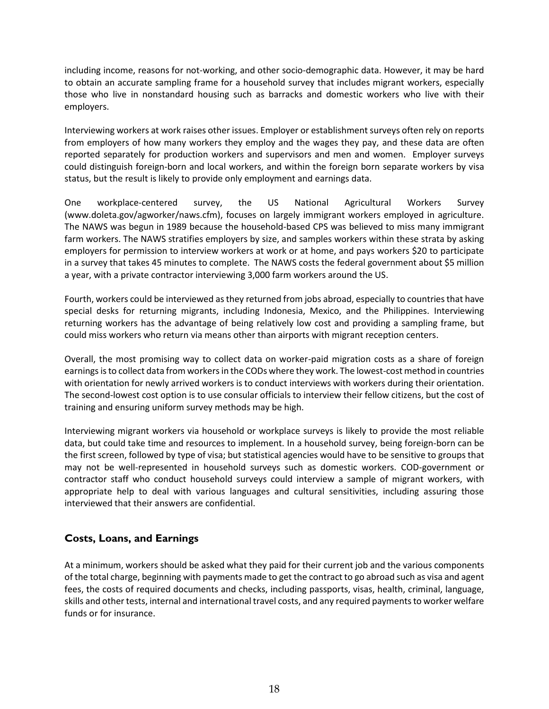including income, reasons for not-working, and other socio-demographic data. However, it may be hard to obtain an accurate sampling frame for a household survey that includes migrant workers, especially those who live in nonstandard housing such as barracks and domestic workers who live with their employers.

Interviewing workers at work raises other issues. Employer or establishment surveys often rely on reports from employers of how many workers they employ and the wages they pay, and these data are often reported separately for production workers and supervisors and men and women. Employer surveys could distinguish foreign-born and local workers, and within the foreign born separate workers by visa status, but the result is likely to provide only employment and earnings data.

One workplace-centered survey, the US National Agricultural Workers Survey (www.doleta.gov/agworker/naws.cfm), focuses on largely immigrant workers employed in agriculture. The NAWS was begun in 1989 because the household-based CPS was believed to miss many immigrant farm workers. The NAWS stratifies employers by size, and samples workers within these strata by asking employers for permission to interview workers at work or at home, and pays workers \$20 to participate in a survey that takes 45 minutes to complete. The NAWS costs the federal government about \$5 million a year, with a private contractor interviewing 3,000 farm workers around the US.

Fourth, workers could be interviewed as they returned from jobs abroad, especially to countries that have special desks for returning migrants, including Indonesia, Mexico, and the Philippines. Interviewing returning workers has the advantage of being relatively low cost and providing a sampling frame, but could miss workers who return via means other than airports with migrant reception centers.

Overall, the most promising way to collect data on worker-paid migration costs as a share of foreign earnings is to collect data from workers in the CODs where they work. The lowest-cost method in countries with orientation for newly arrived workers is to conduct interviews with workers during their orientation. The second-lowest cost option is to use consular officials to interview their fellow citizens, but the cost of training and ensuring uniform survey methods may be high.

Interviewing migrant workers via household or workplace surveys is likely to provide the most reliable data, but could take time and resources to implement. In a household survey, being foreign-born can be the first screen, followed by type of visa; but statistical agencies would have to be sensitive to groups that may not be well-represented in household surveys such as domestic workers. COD-government or contractor staff who conduct household surveys could interview a sample of migrant workers, with appropriate help to deal with various languages and cultural sensitivities, including assuring those interviewed that their answers are confidential.

# **Costs, Loans, and Earnings**

At a minimum, workers should be asked what they paid for their current job and the various components of the total charge, beginning with payments made to get the contract to go abroad such as visa and agent fees, the costs of required documents and checks, including passports, visas, health, criminal, language, skills and othertests, internal and international travel costs, and any required payments to worker welfare funds or for insurance.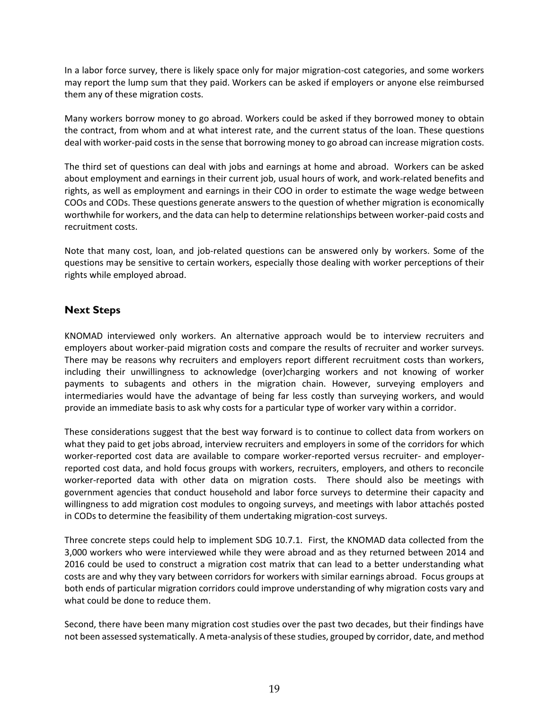In a labor force survey, there is likely space only for major migration-cost categories, and some workers may report the lump sum that they paid. Workers can be asked if employers or anyone else reimbursed them any of these migration costs.

Many workers borrow money to go abroad. Workers could be asked if they borrowed money to obtain the contract, from whom and at what interest rate, and the current status of the loan. These questions deal with worker-paid costs in the sense that borrowing money to go abroad can increase migration costs.

The third set of questions can deal with jobs and earnings at home and abroad. Workers can be asked about employment and earnings in their current job, usual hours of work, and work-related benefits and rights, as well as employment and earnings in their COO in order to estimate the wage wedge between COOs and CODs. These questions generate answers to the question of whether migration is economically worthwhile for workers, and the data can help to determine relationships between worker-paid costs and recruitment costs.

Note that many cost, loan, and job-related questions can be answered only by workers. Some of the questions may be sensitive to certain workers, especially those dealing with worker perceptions of their rights while employed abroad.

# **Next Steps**

KNOMAD interviewed only workers. An alternative approach would be to interview recruiters and employers about worker-paid migration costs and compare the results of recruiter and worker surveys. There may be reasons why recruiters and employers report different recruitment costs than workers, including their unwillingness to acknowledge (over)charging workers and not knowing of worker payments to subagents and others in the migration chain. However, surveying employers and intermediaries would have the advantage of being far less costly than surveying workers, and would provide an immediate basis to ask why costs for a particular type of worker vary within a corridor.

These considerations suggest that the best way forward is to continue to collect data from workers on what they paid to get jobs abroad, interview recruiters and employers in some of the corridors for which worker-reported cost data are available to compare worker-reported versus recruiter- and employerreported cost data, and hold focus groups with workers, recruiters, employers, and others to reconcile worker-reported data with other data on migration costs. There should also be meetings with government agencies that conduct household and labor force surveys to determine their capacity and willingness to add migration cost modules to ongoing surveys, and meetings with labor attachés posted in CODs to determine the feasibility of them undertaking migration-cost surveys.

Three concrete steps could help to implement SDG 10.7.1. First, the KNOMAD data collected from the 3,000 workers who were interviewed while they were abroad and as they returned between 2014 and 2016 could be used to construct a migration cost matrix that can lead to a better understanding what costs are and why they vary between corridors for workers with similar earnings abroad. Focus groups at both ends of particular migration corridors could improve understanding of why migration costs vary and what could be done to reduce them.

Second, there have been many migration cost studies over the past two decades, but their findings have not been assessed systematically. A meta-analysis of these studies, grouped by corridor, date, and method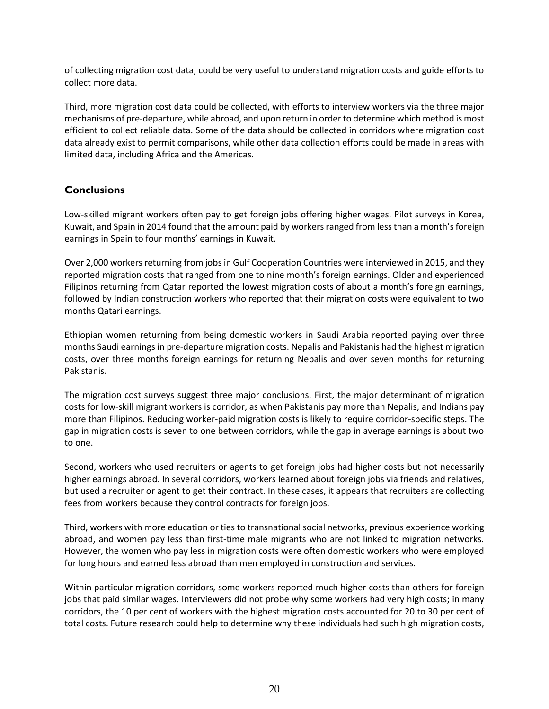of collecting migration cost data, could be very useful to understand migration costs and guide efforts to collect more data.

Third, more migration cost data could be collected, with efforts to interview workers via the three major mechanisms of pre-departure, while abroad, and upon return in order to determine which method is most efficient to collect reliable data. Some of the data should be collected in corridors where migration cost data already exist to permit comparisons, while other data collection efforts could be made in areas with limited data, including Africa and the Americas.

# **Conclusions**

Low-skilled migrant workers often pay to get foreign jobs offering higher wages. Pilot surveys in Korea, Kuwait, and Spain in 2014 found that the amount paid by workers ranged from less than a month's foreign earnings in Spain to four months' earnings in Kuwait.

Over 2,000 workers returning from jobs in Gulf Cooperation Countries were interviewed in 2015, and they reported migration costs that ranged from one to nine month's foreign earnings. Older and experienced Filipinos returning from Qatar reported the lowest migration costs of about a month's foreign earnings, followed by Indian construction workers who reported that their migration costs were equivalent to two months Qatari earnings.

Ethiopian women returning from being domestic workers in Saudi Arabia reported paying over three months Saudi earnings in pre-departure migration costs. Nepalis and Pakistanis had the highest migration costs, over three months foreign earnings for returning Nepalis and over seven months for returning Pakistanis.

The migration cost surveys suggest three major conclusions. First, the major determinant of migration costs for low-skill migrant workers is corridor, as when Pakistanis pay more than Nepalis, and Indians pay more than Filipinos. Reducing worker-paid migration costs is likely to require corridor-specific steps. The gap in migration costs is seven to one between corridors, while the gap in average earnings is about two to one.

Second, workers who used recruiters or agents to get foreign jobs had higher costs but not necessarily higher earnings abroad. In several corridors, workers learned about foreign jobs via friends and relatives, but used a recruiter or agent to get their contract. In these cases, it appears that recruiters are collecting fees from workers because they control contracts for foreign jobs.

Third, workers with more education or ties to transnational social networks, previous experience working abroad, and women pay less than first-time male migrants who are not linked to migration networks. However, the women who pay less in migration costs were often domestic workers who were employed for long hours and earned less abroad than men employed in construction and services.

Within particular migration corridors, some workers reported much higher costs than others for foreign jobs that paid similar wages. Interviewers did not probe why some workers had very high costs; in many corridors, the 10 per cent of workers with the highest migration costs accounted for 20 to 30 per cent of total costs. Future research could help to determine why these individuals had such high migration costs,